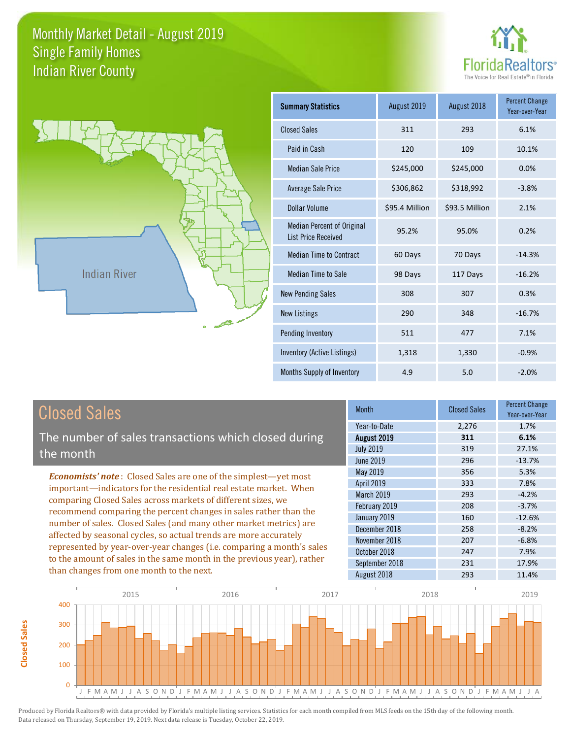



**Closed Sales**

**Closed Sales** 

| <b>Summary Statistics</b>                                       | August 2019    | August 2018    | <b>Percent Change</b><br>Year-over-Year |
|-----------------------------------------------------------------|----------------|----------------|-----------------------------------------|
| <b>Closed Sales</b>                                             | 311            | 293            | 6.1%                                    |
| Paid in Cash                                                    | 120            | 109            | 10.1%                                   |
| <b>Median Sale Price</b>                                        | \$245,000      | \$245,000      | 0.0%                                    |
| <b>Average Sale Price</b>                                       | \$306,862      | \$318,992      | $-3.8%$                                 |
| Dollar Volume                                                   | \$95.4 Million | \$93.5 Million | 2.1%                                    |
| <b>Median Percent of Original</b><br><b>List Price Received</b> | 95.2%          | 95.0%          | 0.2%                                    |
| <b>Median Time to Contract</b>                                  | 60 Days        | 70 Days        | $-14.3%$                                |
| <b>Median Time to Sale</b>                                      | 98 Days        | 117 Days       | $-16.2%$                                |
| <b>New Pending Sales</b>                                        | 308            | 307            | 0.3%                                    |
| <b>New Listings</b>                                             | 290            | 348            | $-16.7%$                                |
| Pending Inventory                                               | 511            | 477            | 7.1%                                    |
| Inventory (Active Listings)                                     | 1,318          | 1,330          | $-0.9%$                                 |
| Months Supply of Inventory                                      | 4.9            | 5.0            | $-2.0%$                                 |

| <b>Closed Sales</b>                                                                                                                             | <b>Month</b>      | <b>Closed Sales</b> | <b>Percent Change</b><br>Year-over-Year |
|-------------------------------------------------------------------------------------------------------------------------------------------------|-------------------|---------------------|-----------------------------------------|
|                                                                                                                                                 | Year-to-Date      | 2,276               | 1.7%                                    |
| The number of sales transactions which closed during                                                                                            | August 2019       | 311                 | 6.1%                                    |
| the month                                                                                                                                       | <b>July 2019</b>  | 319                 | 27.1%                                   |
|                                                                                                                                                 | <b>June 2019</b>  | 296                 | $-13.7%$                                |
| <b>Economists' note:</b> Closed Sales are one of the simplest-yet most                                                                          | May 2019          | 356                 | 5.3%                                    |
| important—indicators for the residential real estate market. When                                                                               | April 2019        | 333                 | 7.8%                                    |
| comparing Closed Sales across markets of different sizes, we                                                                                    | <b>March 2019</b> | 293                 | $-4.2%$                                 |
| recommend comparing the percent changes in sales rather than the                                                                                | February 2019     | 208                 | $-3.7%$                                 |
| number of sales. Closed Sales (and many other market metrics) are<br>affected by seasonal cycles, so actual trends are more accurately          | January 2019      | 160                 | $-12.6%$                                |
|                                                                                                                                                 | December 2018     | 258                 | $-8.2%$                                 |
|                                                                                                                                                 | November 2018     | 207                 | $-6.8%$                                 |
| represented by year-over-year changes (i.e. comparing a month's sales<br>to the amount of sales in the same month in the previous year), rather | October 2018      | 247                 | 7.9%                                    |
|                                                                                                                                                 | September 2018    | 231                 | 17.9%                                   |
| than changes from one month to the next.                                                                                                        | August 2018       | 293                 | 11.4%                                   |

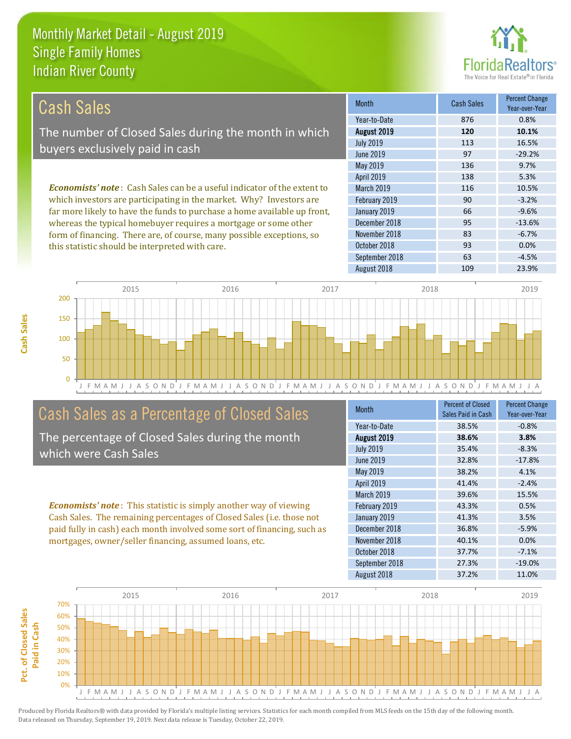

| Cash Sales                                                                     | <b>Month</b>      | <b>Cash Sales</b> | <b>Percent Change</b><br>Year-over-Year |
|--------------------------------------------------------------------------------|-------------------|-------------------|-----------------------------------------|
|                                                                                | Year-to-Date      | 876               | 0.8%                                    |
| The number of Closed Sales during the month in which                           | August 2019       | 120               | 10.1%                                   |
| buyers exclusively paid in cash                                                | <b>July 2019</b>  | 113               | 16.5%                                   |
|                                                                                | June 2019         | 97                | $-29.2%$                                |
|                                                                                | May 2019          | 136               | 9.7%                                    |
|                                                                                | <b>April 2019</b> | 138               | 5.3%                                    |
| <b>Economists' note:</b> Cash Sales can be a useful indicator of the extent to | March 2019        | 116               | 10.5%                                   |
| which investors are participating in the market. Why? Investors are            | February 2019     | 90                | $-3.2%$                                 |
| far more likely to have the funds to purchase a home available up front,       | January 2019      | 66                | $-9.6%$                                 |
| whereas the typical homebuyer requires a mortgage or some other                | December 2018     | 95                | $-13.6%$                                |
| form of financing. There are, of course, many possible exceptions, so          | November 2018     | 83                | $-6.7%$                                 |
| this statistic should be interpreted with care.                                | October 2018      | 93                | 0.0%                                    |



# Cash Sales as a Percentage of Closed Sales

The percentage of Closed Sales during the month which were Cash Sales

*Economists' note* : This statistic is simply another way of viewing Cash Sales. The remaining percentages of Closed Sales (i.e. those not paid fully in cash) each month involved some sort of financing, such as mortgages, owner/seller financing, assumed loans, etc.

| Month            | <b>Percent of Closed</b><br>Sales Paid in Cash | <b>Percent Change</b><br>Year-over-Year |
|------------------|------------------------------------------------|-----------------------------------------|
| Year-to-Date     | 38.5%                                          | $-0.8%$                                 |
| August 2019      | 38.6%                                          | 3.8%                                    |
| <b>July 2019</b> | 35.4%                                          | $-8.3%$                                 |
| <b>June 2019</b> | 32.8%                                          | $-17.8%$                                |
| May 2019         | 38.2%                                          | 4.1%                                    |
| April 2019       | 41.4%                                          | $-2.4%$                                 |
| March 2019       | 39.6%                                          | 15.5%                                   |
| February 2019    | 43.3%                                          | 0.5%                                    |
| January 2019     | 41.3%                                          | 3.5%                                    |
| December 2018    | 36.8%                                          | $-5.9%$                                 |
| November 2018    | 40.1%                                          | 0.0%                                    |
| October 2018     | 37.7%                                          | $-7.1%$                                 |
| September 2018   | 27.3%                                          | $-19.0%$                                |
| August 2018      | 37.2%                                          | 11.0%                                   |

September 2018 **63** -4.5%

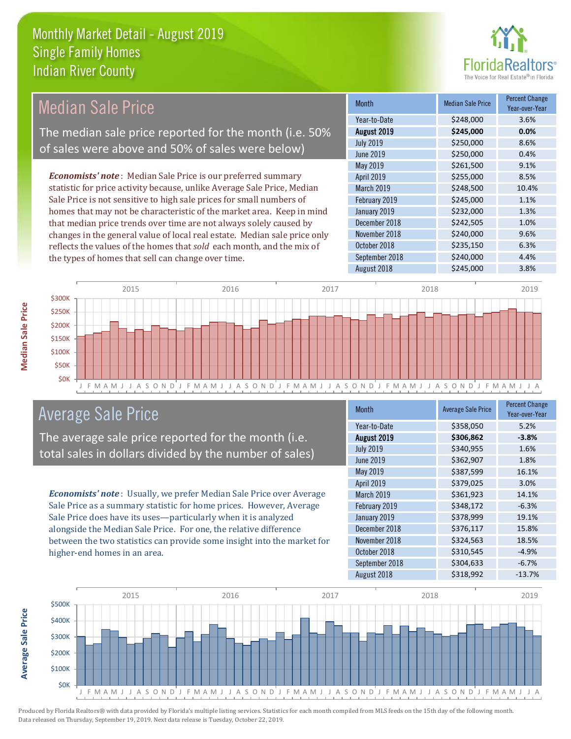

| <b>Median Sale Price</b>                                                  | <b>Month</b>      | <b>Median Sale Price</b> | <b>Percent Change</b><br>Year-over-Year |
|---------------------------------------------------------------------------|-------------------|--------------------------|-----------------------------------------|
|                                                                           | Year-to-Date      | \$248,000                | 3.6%                                    |
| The median sale price reported for the month (i.e. 50%                    | August 2019       | \$245,000                | 0.0%                                    |
|                                                                           | <b>July 2019</b>  | \$250,000                | 8.6%                                    |
| of sales were above and 50% of sales were below)                          | June 2019         | \$250,000                | 0.4%                                    |
|                                                                           | May 2019          | \$261,500                | 9.1%                                    |
| <b>Economists' note:</b> Median Sale Price is our preferred summary       | <b>April 2019</b> | \$255,000                | 8.5%                                    |
| statistic for price activity because, unlike Average Sale Price, Median   | <b>March 2019</b> | \$248,500                | 10.4%                                   |
| Sale Price is not sensitive to high sale prices for small numbers of      | February 2019     | \$245,000                | 1.1%                                    |
| homes that may not be characteristic of the market area. Keep in mind     | January 2019      | \$232,000                | 1.3%                                    |
| that median price trends over time are not always solely caused by        | December 2018     | \$242,505                | 1.0%                                    |
| changes in the general value of local real estate. Median sale price only | November 2018     | \$240,000                | 9.6%                                    |
| reflects the values of the homes that sold each month, and the mix of     | October 2018      | \$235,150                | 6.3%                                    |
| the types of homes that sell can change over time.                        | September 2018    | \$240,000                | 4.4%                                    |
|                                                                           | August 2018       | \$245,000                | 3.8%                                    |



# Average Sale Price

The average sale price reported for the month (i.e. total sales in dollars divided by the number of sales)

*Economists' note* : Usually, we prefer Median Sale Price over Average Sale Price as a summary statistic for home prices. However, Average Sale Price does have its uses—particularly when it is analyzed alongside the Median Sale Price. For one, the relative difference between the two statistics can provide some insight into the market for higher-end homes in an area.

| <b>Month</b>     | <b>Average Sale Price</b> | <b>Percent Change</b><br>Year-over-Year |
|------------------|---------------------------|-----------------------------------------|
| Year-to-Date     | \$358,050                 | 5.2%                                    |
| August 2019      | \$306,862                 | $-3.8%$                                 |
| <b>July 2019</b> | \$340,955                 | 1.6%                                    |
| <b>June 2019</b> | \$362,907                 | 1.8%                                    |
| May 2019         | \$387,599                 | 16.1%                                   |
| April 2019       | \$379,025                 | 3.0%                                    |
| March 2019       | \$361,923                 | 14.1%                                   |
| February 2019    | \$348,172                 | $-6.3%$                                 |
| January 2019     | \$378,999                 | 19.1%                                   |
| December 2018    | \$376,117                 | 15.8%                                   |
| November 2018    | \$324,563                 | 18.5%                                   |
| October 2018     | \$310,545                 | $-4.9%$                                 |
| September 2018   | \$304,633                 | $-6.7%$                                 |
| August 2018      | \$318,992                 | $-13.7%$                                |



Produced by Florida Realtors® with data provided by Florida's multiple listing services. Statistics for each month compiled from MLS feeds on the 15th day of the following month. Data released on Thursday, September 19, 2019. Next data release is Tuesday, October 22, 2019.

**Average Sale Price**

**Average Sale Price**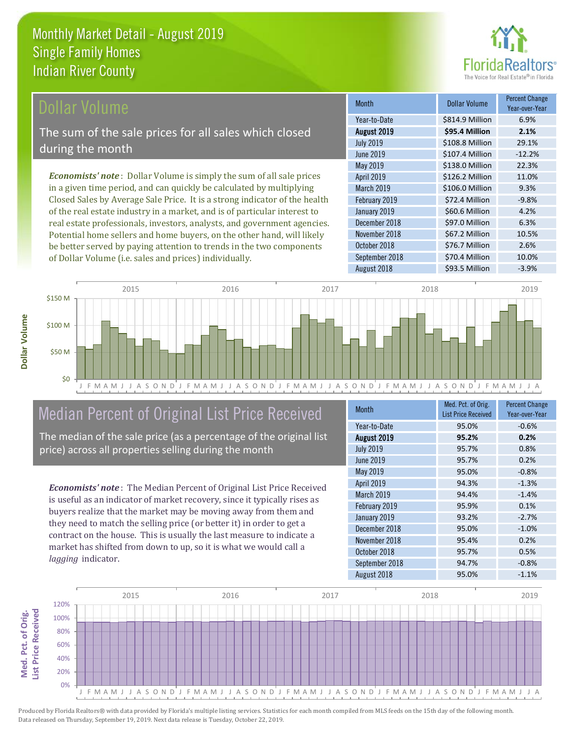

#### Dollar Volume

The sum of the sale prices for all sales which closed during the month

*Economists' note* : Dollar Volume is simply the sum of all sale prices in a given time period, and can quickly be calculated by multiplying Closed Sales by Average Sale Price. It is a strong indicator of the health of the real estate industry in a market, and is of particular interest to real estate professionals, investors, analysts, and government agencies. Potential home sellers and home buyers, on the other hand, will likely be better served by paying attention to trends in the two components of Dollar Volume (i.e. sales and prices) individually.

| <b>Month</b>     | <b>Dollar Volume</b> | <b>Percent Change</b><br>Year-over-Year |
|------------------|----------------------|-----------------------------------------|
| Year-to-Date     | \$814.9 Million      | 6.9%                                    |
| August 2019      | \$95.4 Million       | 2.1%                                    |
| <b>July 2019</b> | \$108.8 Million      | 29.1%                                   |
| <b>June 2019</b> | \$107.4 Million      | $-12.2%$                                |
| <b>May 2019</b>  | \$138.0 Million      | 22.3%                                   |
| April 2019       | \$126.2 Million      | 11.0%                                   |
| March 2019       | \$106.0 Million      | 9.3%                                    |
| February 2019    | \$72.4 Million       | $-9.8%$                                 |
| January 2019     | \$60.6 Million       | 4.2%                                    |
| December 2018    | \$97.0 Million       | 6.3%                                    |
| November 2018    | \$67.2 Million       | 10.5%                                   |
| October 2018     | \$76.7 Million       | 2.6%                                    |
| September 2018   | \$70.4 Million       | 10.0%                                   |
| August 2018      | \$93.5 Million       | $-3.9%$                                 |



# Median Percent of Original List Price Received

The median of the sale price (as a percentage of the original list price) across all properties selling during the month

*Economists' note* : The Median Percent of Original List Price Received is useful as an indicator of market recovery, since it typically rises as buyers realize that the market may be moving away from them and they need to match the selling price (or better it) in order to get a contract on the house. This is usually the last measure to indicate a market has shifted from down to up, so it is what we would call a *lagging* indicator.

| <b>Month</b>     | Med. Pct. of Orig.         | <b>Percent Change</b> |
|------------------|----------------------------|-----------------------|
|                  | <b>List Price Received</b> | Year-over-Year        |
| Year-to-Date     | 95.0%                      | $-0.6%$               |
| August 2019      | 95.2%                      | 0.2%                  |
| <b>July 2019</b> | 95.7%                      | 0.8%                  |
| <b>June 2019</b> | 95.7%                      | 0.2%                  |
| May 2019         | 95.0%                      | $-0.8%$               |
| April 2019       | 94.3%                      | $-1.3%$               |
| March 2019       | 94.4%                      | $-1.4%$               |
| February 2019    | 95.9%                      | 0.1%                  |
| January 2019     | 93.2%                      | $-2.7%$               |
| December 2018    | 95.0%                      | $-1.0%$               |
| November 2018    | 95.4%                      | 0.2%                  |
| October 2018     | 95.7%                      | 0.5%                  |
| September 2018   | 94.7%                      | $-0.8%$               |
| August 2018      | 95.0%                      | $-1.1%$               |

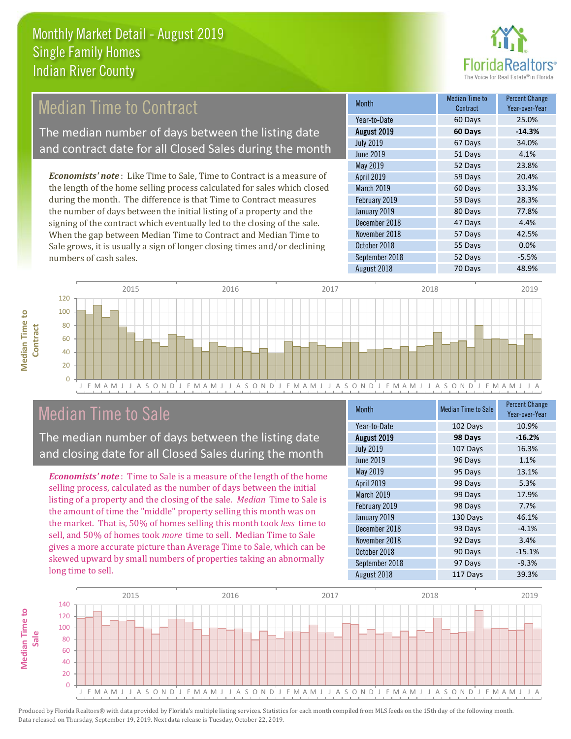

#### 51 Days 4.1% May 2019 **52 Days** 23.8% Month Median Time to Contract Percent Change August 2019 **60 Days -14.3%** Year-to-Date 60 Days 25.0% July 2019 67 Days 34.0% June 2019 February 2019 59 Days 28.3% April 2019 **59 Days** 20.4% March 2019 **60 Days** 53.3% *Economists' note* : Like Time to Sale, Time to Contract is a measure of the length of the home selling process calculated for sales which closed during the month. The difference is that Time to Contract measures Median Time to Contract The median number of days between the listing date and contract date for all Closed Sales during the month

the number of days between the initial listing of a property and the signing of the contract which eventually led to the closing of the sale. When the gap between Median Time to Contract and Median Time to Sale grows, it is usually a sign of longer closing times and/or declining numbers of cash sales.

| ,,,,,,,,,        | Contract | Year-over-Year |
|------------------|----------|----------------|
| Year-to-Date     | 60 Days  | 25.0%          |
| August 2019      | 60 Days  | $-14.3%$       |
| <b>July 2019</b> | 67 Days  | 34.0%          |
| <b>June 2019</b> | 51 Days  | 4.1%           |
| May 2019         | 52 Days  | 23.8%          |
| April 2019       | 59 Days  | 20.4%          |
| March 2019       | 60 Days  | 33.3%          |
| February 2019    | 59 Days  | 28.3%          |
| January 2019     | 80 Days  | 77.8%          |
| December 2018    | 47 Days  | 4.4%           |
| November 2018    | 57 Days  | 42.5%          |
| October 2018     | 55 Days  | 0.0%           |
| September 2018   | 52 Days  | $-5.5%$        |
| August 2018      | 70 Days  | 48.9%          |



# Median Time to Sale

**Median Time to** 

**Median Time to** 

The median number of days between the listing date and closing date for all Closed Sales during the month

*Economists' note* : Time to Sale is a measure of the length of the home selling process, calculated as the number of days between the initial listing of a property and the closing of the sale. *Median* Time to Sale is the amount of time the "middle" property selling this month was on the market. That is, 50% of homes selling this month took *less* time to sell, and 50% of homes took *more* time to sell. Median Time to Sale gives a more accurate picture than Average Time to Sale, which can be skewed upward by small numbers of properties taking an abnormally long time to sell.

| <b>Month</b>      | <b>Median Time to Sale</b> | <b>Percent Change</b><br>Year-over-Year |
|-------------------|----------------------------|-----------------------------------------|
| Year-to-Date      | 102 Days                   | 10.9%                                   |
| August 2019       | 98 Days                    | $-16.2%$                                |
| <b>July 2019</b>  | 107 Days                   | 16.3%                                   |
| <b>June 2019</b>  | 96 Days                    | 1.1%                                    |
| May 2019          | 95 Days                    | 13.1%                                   |
| April 2019        | 99 Days                    | 5.3%                                    |
| <b>March 2019</b> | 99 Days                    | 17.9%                                   |
| February 2019     | 98 Days                    | 7.7%                                    |
| January 2019      | 130 Days                   | 46.1%                                   |
| December 2018     | 93 Days                    | $-4.1%$                                 |
| November 2018     | 92 Days                    | 3.4%                                    |
| October 2018      | 90 Days                    | $-15.1%$                                |
| September 2018    | 97 Days                    | $-9.3%$                                 |
| August 2018       | 117 Days                   | 39.3%                                   |

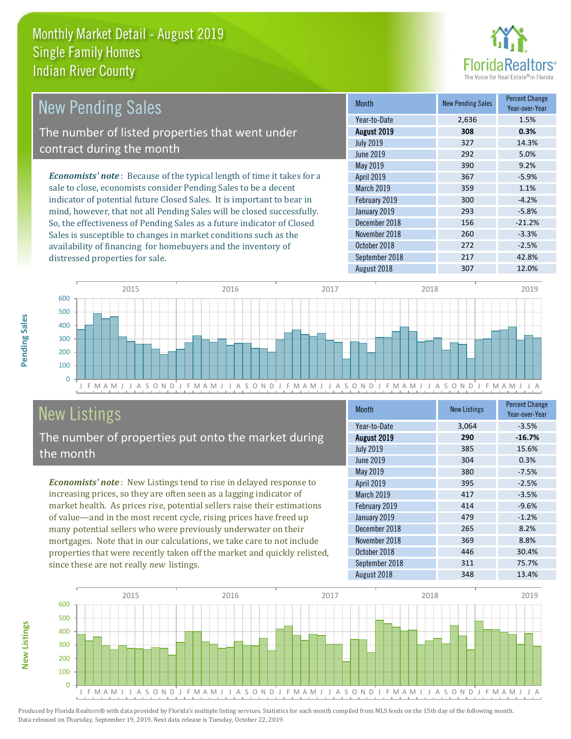

| <b>New Pending Sales</b>                                                      | <b>Month</b>      | <b>New Pending Sales</b> | <b>Percent Change</b><br>Year-over-Year |
|-------------------------------------------------------------------------------|-------------------|--------------------------|-----------------------------------------|
|                                                                               | Year-to-Date      | 2,636                    | 1.5%                                    |
| The number of listed properties that went under                               | August 2019       | 308                      | 0.3%                                    |
| contract during the month                                                     | <b>July 2019</b>  | 327                      | 14.3%                                   |
|                                                                               | June 2019         | 292                      | 5.0%                                    |
|                                                                               | May 2019          | 390                      | 9.2%                                    |
| <b>Economists' note:</b> Because of the typical length of time it takes for a | <b>April 2019</b> | 367                      | $-5.9%$                                 |
| sale to close, economists consider Pending Sales to be a decent               | <b>March 2019</b> | 359                      | 1.1%                                    |
| indicator of potential future Closed Sales. It is important to bear in        | February 2019     | 300                      | $-4.2%$                                 |
| mind, however, that not all Pending Sales will be closed successfully.        | January 2019      | 293                      | $-5.8%$                                 |
| So, the effectiveness of Pending Sales as a future indicator of Closed        | December 2018     | 156                      | $-21.2%$                                |
| Sales is susceptible to changes in market conditions such as the              | November 2018     | 260                      | $-3.3%$                                 |
| availability of financing for homebuyers and the inventory of                 | October 2018      | 272                      | $-2.5%$                                 |



# New Listings

distressed properties for sale.

The number of properties put onto the market during the month

*Economists' note* : New Listings tend to rise in delayed response to increasing prices, so they are often seen as a lagging indicator of market health. As prices rise, potential sellers raise their estimations of value—and in the most recent cycle, rising prices have freed up many potential sellers who were previously underwater on their mortgages. Note that in our calculations, we take care to not include properties that were recently taken off the market and quickly relisted, since these are not really *new* listings.

| Month            | <b>New Listings</b> | <b>Percent Change</b><br>Year-over-Year |
|------------------|---------------------|-----------------------------------------|
| Year-to-Date     | 3,064               | $-3.5%$                                 |
| August 2019      | 290                 | $-16.7%$                                |
| <b>July 2019</b> | 385                 | 15.6%                                   |
| <b>June 2019</b> | 304                 | 0.3%                                    |
| May 2019         | 380                 | $-7.5%$                                 |
| April 2019       | 395                 | $-2.5%$                                 |
| March 2019       | 417                 | $-3.5%$                                 |
| February 2019    | 414                 | $-9.6%$                                 |
| January 2019     | 479                 | $-1.2%$                                 |
| December 2018    | 265                 | 8.2%                                    |
| November 2018    | 369                 | 8.8%                                    |
| October 2018     | 446                 | 30.4%                                   |
| September 2018   | 311                 | 75.7%                                   |
| August 2018      | 348                 | 13.4%                                   |

September 2018 217 42.8%



Produced by Florida Realtors® with data provided by Florida's multiple listing services. Statistics for each month compiled from MLS feeds on the 15th day of the following month. Data released on Thursday, September 19, 2019. Next data release is Tuesday, October 22, 2019.

**New Listings**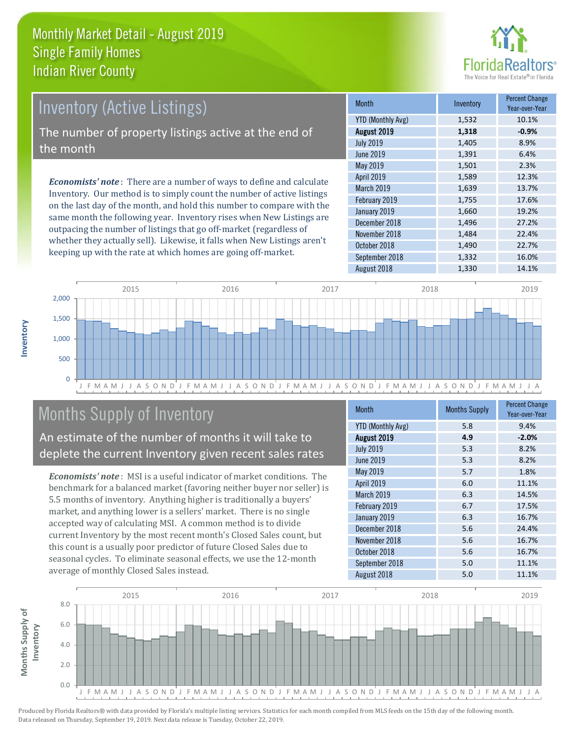

# Inventory (Active Listings) The number of property listings active at the end of the month

*Economists' note* : There are a number of ways to define and calculate Inventory. Our method is to simply count the number of active listings on the last day of the month, and hold this number to compare with the same month the following year. Inventory rises when New Listings are outpacing the number of listings that go off-market (regardless of whether they actually sell). Likewise, it falls when New Listings aren't keeping up with the rate at which homes are going off-market.

| <b>Month</b>             | Inventory | <b>Percent Change</b><br>Year-over-Year |
|--------------------------|-----------|-----------------------------------------|
| <b>YTD (Monthly Avg)</b> | 1,532     | 10.1%                                   |
| August 2019              | 1,318     | $-0.9%$                                 |
| <b>July 2019</b>         | 1,405     | 8.9%                                    |
| <b>June 2019</b>         | 1,391     | 6.4%                                    |
| May 2019                 | 1,501     | 2.3%                                    |
| April 2019               | 1,589     | 12.3%                                   |
| March 2019               | 1,639     | 13.7%                                   |
| February 2019            | 1,755     | 17.6%                                   |
| January 2019             | 1,660     | 19.2%                                   |
| December 2018            | 1,496     | 27.2%                                   |
| November 2018            | 1,484     | 22.4%                                   |
| October 2018             | 1,490     | 22.7%                                   |
| September 2018           | 1,332     | 16.0%                                   |
| August 2018              | 1,330     | 14.1%                                   |



# Months Supply of Inventory

An estimate of the number of months it will take to deplete the current Inventory given recent sales rates

*Economists' note* : MSI is a useful indicator of market conditions. The benchmark for a balanced market (favoring neither buyer nor seller) is 5.5 months of inventory. Anything higher is traditionally a buyers' market, and anything lower is a sellers' market. There is no single accepted way of calculating MSI. A common method is to divide current Inventory by the most recent month's Closed Sales count, but this count is a usually poor predictor of future Closed Sales due to seasonal cycles. To eliminate seasonal effects, we use the 12-month average of monthly Closed Sales instead.

| Month                    | <b>Months Supply</b> | <b>Percent Change</b><br>Year-over-Year |
|--------------------------|----------------------|-----------------------------------------|
| <b>YTD (Monthly Avg)</b> | 5.8                  | 9.4%                                    |
| August 2019              | 4.9                  | $-2.0%$                                 |
| <b>July 2019</b>         | 5.3                  | 8.2%                                    |
| <b>June 2019</b>         | 5.3                  | 8.2%                                    |
| May 2019                 | 5.7                  | 1.8%                                    |
| April 2019               | 6.0                  | 11.1%                                   |
| March 2019               | 6.3                  | 14.5%                                   |
| February 2019            | 6.7                  | 17.5%                                   |
| January 2019             | 6.3                  | 16.7%                                   |
| December 2018            | 5.6                  | 24.4%                                   |
| November 2018            | 5.6                  | 16.7%                                   |
| October 2018             | 5.6                  | 16.7%                                   |
| September 2018           | 5.0                  | 11.1%                                   |
| August 2018              | 5.0                  | 11.1%                                   |

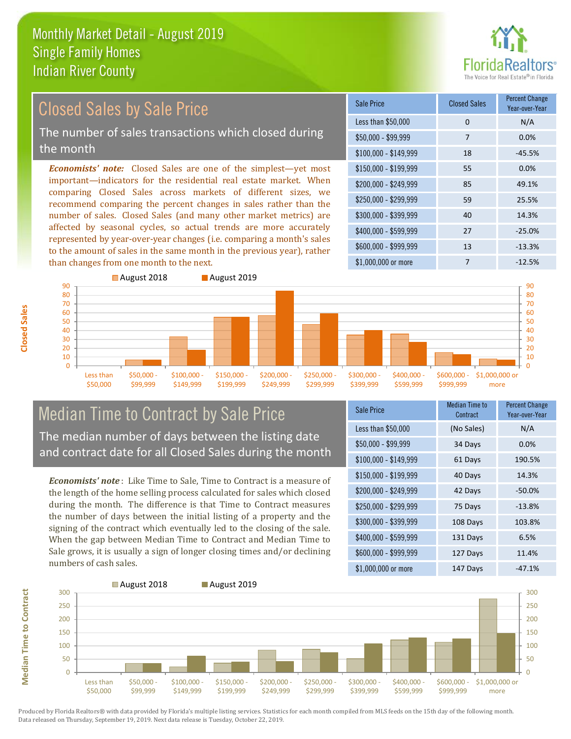

# Closed Sales by Sale Price

The number of sales transactions which closed during the month

*Economists' note:* Closed Sales are one of the simplest—yet most important—indicators for the residential real estate market. When comparing Closed Sales across markets of different sizes, we recommend comparing the percent changes in sales rather than the number of sales. Closed Sales (and many other market metrics) are affected by seasonal cycles, so actual trends are more accurately represented by year-over-year changes (i.e. comparing a month's sales to the amount of sales in the same month in the previous year), rather than changes from one month to the next.

| Sale Price            | <b>Closed Sales</b> | <b>Percent Change</b><br>Year-over-Year |
|-----------------------|---------------------|-----------------------------------------|
| Less than \$50,000    | 0                   | N/A                                     |
| $$50,000 - $99,999$   | 7                   | 0.0%                                    |
| $$100,000 - $149,999$ | 18                  | $-45.5%$                                |
| $$150,000 - $199,999$ | 55                  | 0.0%                                    |
| \$200,000 - \$249,999 | 85                  | 49.1%                                   |
| \$250,000 - \$299,999 | 59                  | 25.5%                                   |
| \$300,000 - \$399,999 | 40                  | 14.3%                                   |
| \$400,000 - \$599,999 | 27                  | $-25.0%$                                |
| \$600,000 - \$999,999 | 13                  | $-13.3%$                                |
| \$1,000,000 or more   | 7                   | $-12.5%$                                |



# Median Time to Contract by Sale Price The median number of days between the listing date

and contract date for all Closed Sales during the month

*Economists' note* : Like Time to Sale, Time to Contract is a measure of the length of the home selling process calculated for sales which closed during the month. The difference is that Time to Contract measures the number of days between the initial listing of a property and the signing of the contract which eventually led to the closing of the sale. When the gap between Median Time to Contract and Median Time to Sale grows, it is usually a sign of longer closing times and/or declining numbers of cash sales.

| Sale Price            | Median Time to<br>Contract | <b>Percent Change</b><br>Year-over-Year |
|-----------------------|----------------------------|-----------------------------------------|
| Less than \$50,000    | (No Sales)                 | N/A                                     |
| $$50,000 - $99,999$   | 34 Days                    | 0.0%                                    |
| $$100,000 - $149,999$ | 61 Days                    | 190.5%                                  |
| $$150,000 - $199,999$ | 40 Days                    | 14.3%                                   |
| \$200,000 - \$249,999 | 42 Days                    | $-50.0\%$                               |
| \$250,000 - \$299,999 | 75 Days                    | $-13.8%$                                |
| \$300,000 - \$399,999 | 108 Days                   | 103.8%                                  |
| \$400,000 - \$599,999 | 131 Days                   | 6.5%                                    |
| \$600,000 - \$999,999 | 127 Days                   | 11.4%                                   |
| \$1,000,000 or more   | 147 Days                   | $-47.1%$                                |



Produced by Florida Realtors® with data provided by Florida's multiple listing services. Statistics for each month compiled from MLS feeds on the 15th day of the following month. Data released on Thursday, September 19, 2019. Next data release is Tuesday, October 22, 2019.

**Median Time to Contract**

**Median Time to Contract**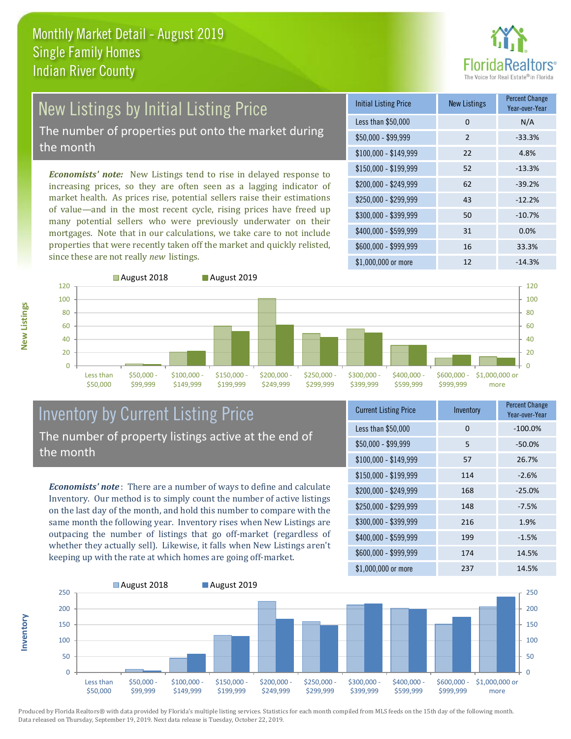

# New Listings by Initial Listing Price

The number of properties put onto the market during the month

*Economists' note:* New Listings tend to rise in delayed response to increasing prices, so they are often seen as a lagging indicator of market health. As prices rise, potential sellers raise their estimations of value—and in the most recent cycle, rising prices have freed up many potential sellers who were previously underwater on their mortgages. Note that in our calculations, we take care to not include properties that were recently taken off the market and quickly relisted, since these are not really *new* listings.

| <b>Initial Listing Price</b> | <b>New Listings</b> | <b>Percent Change</b><br>Year-over-Year |
|------------------------------|---------------------|-----------------------------------------|
| Less than \$50,000           | 0                   | N/A                                     |
| \$50,000 - \$99,999          | $\mathcal{P}$       | $-33.3%$                                |
| $$100,000 - $149,999$        | 22                  | 4.8%                                    |
| $$150,000 - $199,999$        | 52                  | $-13.3%$                                |
| \$200,000 - \$249,999        | 62                  | $-39.2%$                                |
| \$250,000 - \$299,999        | 43                  | $-12.2%$                                |
| \$300,000 - \$399,999        | 50                  | $-10.7%$                                |
| \$400,000 - \$599,999        | 31                  | 0.0%                                    |
| \$600,000 - \$999,999        | 16                  | 33.3%                                   |
| \$1,000,000 or more          | 12                  | $-14.3%$                                |



#### Inventory by Current Listing Price The number of property listings active at the end of the month

*Economists' note* : There are a number of ways to define and calculate Inventory. Our method is to simply count the number of active listings on the last day of the month, and hold this number to compare with the same month the following year. Inventory rises when New Listings are outpacing the number of listings that go off-market (regardless of whether they actually sell). Likewise, it falls when New Listings aren't keeping up with the rate at which homes are going off-market.

| <b>Current Listing Price</b> | Inventory | Percent Change<br>Year-over-Year |
|------------------------------|-----------|----------------------------------|
| Less than \$50,000           | 0         | $-100.0%$                        |
| $$50,000 - $99,999$          | 5         | $-50.0%$                         |
| $$100,000 - $149,999$        | 57        | 26.7%                            |
| $$150,000 - $199,999$        | 114       | $-2.6%$                          |
| $$200,000 - $249,999$        | 168       | $-25.0%$                         |
| \$250,000 - \$299,999        | 148       | $-7.5%$                          |
| \$300,000 - \$399,999        | 216       | 1.9%                             |
| \$400,000 - \$599,999        | 199       | $-1.5%$                          |
| \$600,000 - \$999,999        | 174       | 14.5%                            |
| \$1,000,000 or more          | 237       | 14.5%                            |



Produced by Florida Realtors® with data provided by Florida's multiple listing services. Statistics for each month compiled from MLS feeds on the 15th day of the following month. Data released on Thursday, September 19, 2019. Next data release is Tuesday, October 22, 2019.

**Inventory**